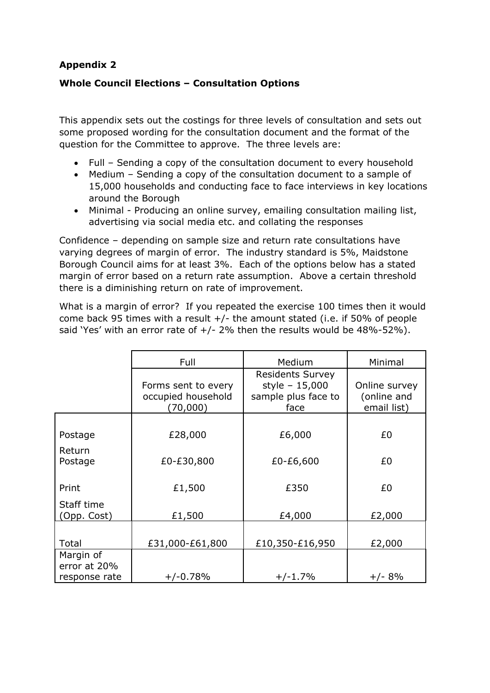# **Appendix 2**

## **Whole Council Elections – Consultation Options**

This appendix sets out the costings for three levels of consultation and sets out some proposed wording for the consultation document and the format of the question for the Committee to approve. The three levels are:

- Full Sending a copy of the consultation document to every household
- Medium Sending a copy of the consultation document to a sample of 15,000 households and conducting face to face interviews in key locations around the Borough
- Minimal Producing an online survey, emailing consultation mailing list, advertising via social media etc. and collating the responses

Confidence – depending on sample size and return rate consultations have varying degrees of margin of error. The industry standard is 5%, Maidstone Borough Council aims for at least 3%. Each of the options below has a stated margin of error based on a return rate assumption. Above a certain threshold there is a diminishing return on rate of improvement.

What is a margin of error? If you repeated the exercise 100 times then it would come back 95 times with a result +/- the amount stated (i.e. if 50% of people said 'Yes' with an error rate of  $+/$ - 2% then the results would be 48%-52%).

|                   | Full                                                  | <b>Medium</b>                                                            | Minimal                                     |
|-------------------|-------------------------------------------------------|--------------------------------------------------------------------------|---------------------------------------------|
|                   | Forms sent to every<br>occupied household<br>(70,000) | <b>Residents Survey</b><br>style - 15,000<br>sample plus face to<br>face | Online survey<br>(online and<br>email list) |
|                   |                                                       |                                                                          |                                             |
| Postage           | £28,000                                               | £6,000                                                                   | £0                                          |
| Return<br>Postage | £0-£30,800                                            | £0-£6,600                                                                | £0                                          |
| Print             | £1,500                                                | £350                                                                     | £0                                          |
| Staff time        |                                                       |                                                                          |                                             |
| (Opp. Cost)       | £1,500                                                | £4,000                                                                   | £2,000                                      |
| Total             | £31,000-£61,800                                       | £10,350-£16,950                                                          | £2,000                                      |
| Margin of         |                                                       |                                                                          |                                             |
| error at 20%      |                                                       |                                                                          |                                             |
| response rate     | $+/-0.78%$                                            | $+/-1.7%$                                                                | $+/- 8%$                                    |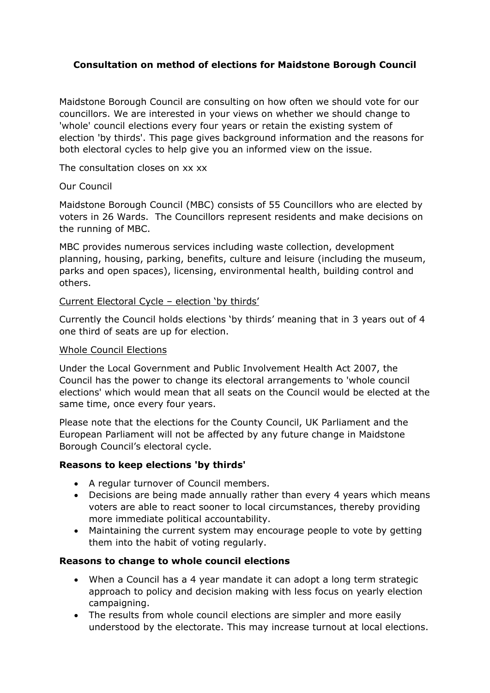# **Consultation on method of elections for Maidstone Borough Council**

Maidstone Borough Council are consulting on how often we should vote for our councillors. We are interested in your views on whether we should change to 'whole' council elections every four years or retain the existing system of election 'by thirds'. This page gives background information and the reasons for both electoral cycles to help give you an informed view on the issue.

The consultation closes on xx xx

## Our Council

Maidstone Borough Council (MBC) consists of 55 Councillors who are elected by voters in 26 Wards. The Councillors represent residents and make decisions on the running of MBC.

MBC provides numerous services including waste collection, development planning, housing, parking, benefits, culture and leisure (including the museum, parks and open spaces), licensing, environmental health, building control and others.

#### Current Electoral Cycle – election 'by thirds'

Currently the Council holds elections 'by thirds' meaning that in 3 years out of 4 one third of seats are up for election.

#### Whole Council Elections

Under the Local Government and Public Involvement Health Act 2007, the Council has the power to change its electoral arrangements to 'whole council elections' which would mean that all seats on the Council would be elected at the same time, once every four years.

Please note that the elections for the County Council, UK Parliament and the European Parliament will not be affected by any future change in Maidstone Borough Council's electoral cycle.

## **Reasons to keep elections 'by thirds'**

- A regular turnover of Council members.
- Decisions are being made annually rather than every 4 years which means voters are able to react sooner to local circumstances, thereby providing more immediate political accountability.
- Maintaining the current system may encourage people to vote by getting them into the habit of voting regularly.

## **Reasons to change to whole council elections**

- When a Council has a 4 year mandate it can adopt a long term strategic approach to policy and decision making with less focus on yearly election campaigning.
- The results from whole council elections are simpler and more easily understood by the electorate. This may increase turnout at local elections.